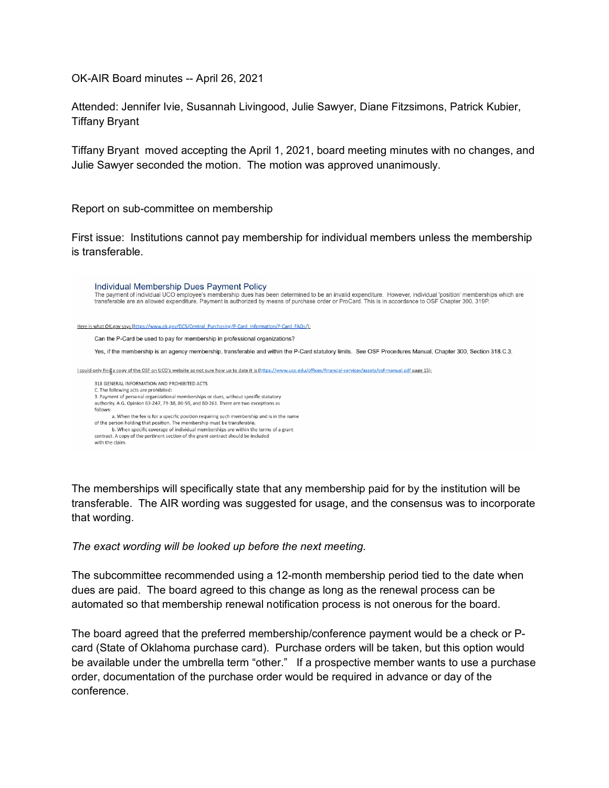OK-AIR Board minutes -- April 26, 2021

Attended: Jennifer Ivie, Susannah Livingood, Julie Sawyer, Diane Fitzsimons, Patrick Kubier, Tiffany Bryant

Tiffany Bryant moved accepting the April 1, 2021, board meeting minutes with no changes, and Julie Sawyer seconded the motion. The motion was approved unanimously.

Report on sub-committee on membership

First issue: Institutions cannot pay membership for individual members unless the membership is transferable.

Individual Membership Dues Payment Policy The payment of individual UCO employee's membership dues has been determined to be an invalid expenditure. However, individual 'position' memberships which are transferable are an allowed expenditure. Payment is authorized Here is what OK.gov says (https://www.ok.gov/DCS/Central Purchasing/P-Card Information/P-Card FAQs/); Can the P-Card be used to pay for membership in professional organizations? Yes, if the membership is an agency membership, transferable and within the P-Card statutory limits. See OSF Procedures Manual, Chapter 300, Section 318.C.3. I could only find a copy of the OSF on UCO's website so not sure how up to date it is (https://www.uco.edu/offices/financial-services/assets/osf-manual.pdf page 15); 318 GENERAL INFORMATION AND PROHIBITED ACTS C. The following acts are prohibited: 3. Payment of personal organizational memberships or dues, without specific statutory authority. A.G. Opinion 63-247, 79-38, 80-59, and 80-261. There are two exceptions as follows: a. When the fee is for a specific position requiring such membership and is in the name of the person holding that position. The membership must be transferable.<br>b. When specific coverage of individual memberships are within the terms of a grant contract. A copy of the pertinent section of the grant contract should be included with the claim

The memberships will specifically state that any membership paid for by the institution will be transferable. The AIR wording was suggested for usage, and the consensus was to incorporate that wording.

## *The exact wording will be looked up before the next meeting.*

The subcommittee recommended using a 12-month membership period tied to the date when dues are paid. The board agreed to this change as long as the renewal process can be automated so that membership renewal notification process is not onerous for the board.

The board agreed that the preferred membership/conference payment would be a check or Pcard (State of Oklahoma purchase card). Purchase orders will be taken, but this option would be available under the umbrella term "other." If a prospective member wants to use a purchase order, documentation of the purchase order would be required in advance or day of the conference.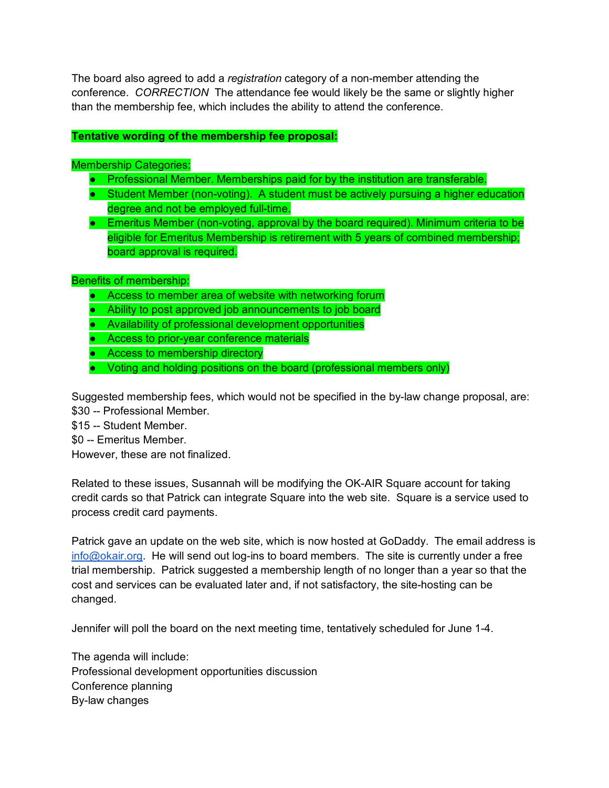The board also agreed to add a *registration* category of a non-member attending the conference. *CORRECTION* The attendance fee would likely be the same or slightly higher than the membership fee, which includes the ability to attend the conference.

## **Tentative wording of the membership fee proposal:**

## Membership Categories:

- Professional Member. Memberships paid for by the institution are transferable.
- Student Member (non-voting). A student must be actively pursuing a higher education degree and not be employed full-time.
- Emeritus Member (non-voting, approval by the board required). Minimum criteria to be eligible for Emeritus Membership is retirement with 5 years of combined membership; board approval is required.

## Benefits of membership:

- Access to member area of website with networking forum
- Ability to post approved job announcements to job board
- Availability of professional development opportunities
- Access to prior-year conference materials
- Access to membership directory
- Voting and holding positions on the board (professional members only)

Suggested membership fees, which would not be specified in the by-law change proposal, are: \$30 -- Professional Member.

- \$15 -- Student Member.
- \$0 -- Emeritus Member.

However, these are not finalized.

Related to these issues, Susannah will be modifying the OK-AIR Square account for taking credit cards so that Patrick can integrate Square into the web site. Square is a service used to process credit card payments.

Patrick gave an update on the web site, which is now hosted at GoDaddy. The email address is [info@okair.org.](mailto:info@okair.org) He will send out log-ins to board members. The site is currently under a free trial membership. Patrick suggested a membership length of no longer than a year so that the cost and services can be evaluated later and, if not satisfactory, the site-hosting can be changed.

Jennifer will poll the board on the next meeting time, tentatively scheduled for June 1-4.

The agenda will include: Professional development opportunities discussion Conference planning By-law changes